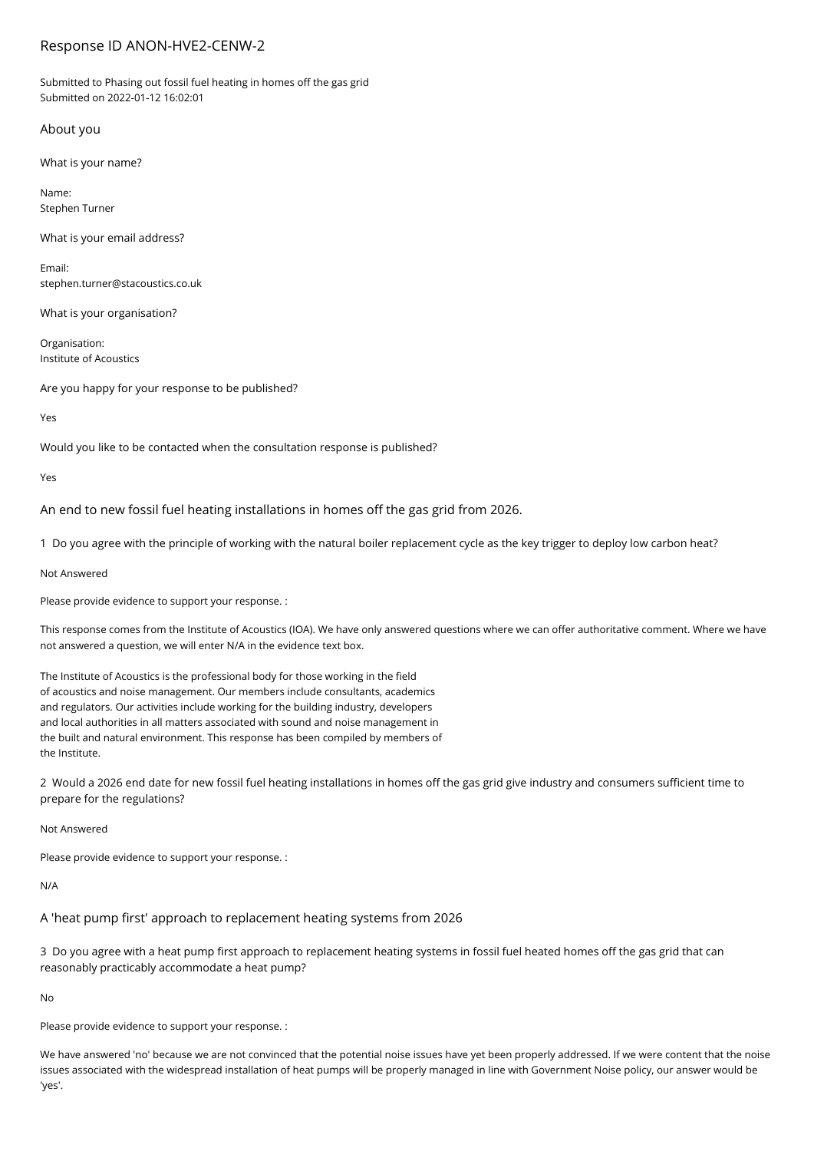# Response ID ANON-HVE2-CENW-2

Submitted to Phasing out fossil fuel heating in homes off the gas grid Submitted on 2022-01-12 16:02:01

### About you

What is your name?

Name: Stephen Turner

What is your email address?

Email: stephen.turner@stacoustics.co.uk

What is your organisation?

Organisation: Institute of Acoustics

Are you happy for your response to be published?

Yes

Would you like to be contacted when the consultation response is published?

Yes

An end to new fossil fuel heating installations in homes off the gas grid from 2026.

1 Do you agree with the principle of working with the natural boiler replacement cycle as the key trigger to deploy low carbon heat?

Not Answered

Please provide evidence to support your response. :

This response comes from the Institute of Acoustics (IOA). We have only answered questions where we can offer authoritative comment. Where we have not answered a question, we will enter N/A in the evidence text box.

The Institute of Acoustics is the professional body for those working in the field of acoustics and noise management. Our members include consultants, academics and regulators. Our activities include working for the building industry, developers and local authorities in all matters associated with sound and noise management in the built and natural environment. This response has been compiled by members of the Institute.

2 Would a 2026 end date for new fossil fuel heating installations in homes off the gas grid give industry and consumers sufficient time to prepare for the regulations?

Not Answered

Please provide evidence to support your response. :

N/A

A 'heat pump first' approach to replacement heating systems from 2026

3 Do you agree with a heat pump first approach to replacement heating systems in fossil fuel heated homes off the gas grid that can reasonably practicably accommodate a heat pump?

No

Please provide evidence to support your response. :

We have answered 'no' because we are not convinced that the potential noise issues have yet been properly addressed. If we were content that the noise issues associated with the widespread installation of heat pumps will be properly managed in line with Government Noise policy, our answer would be 'yes'.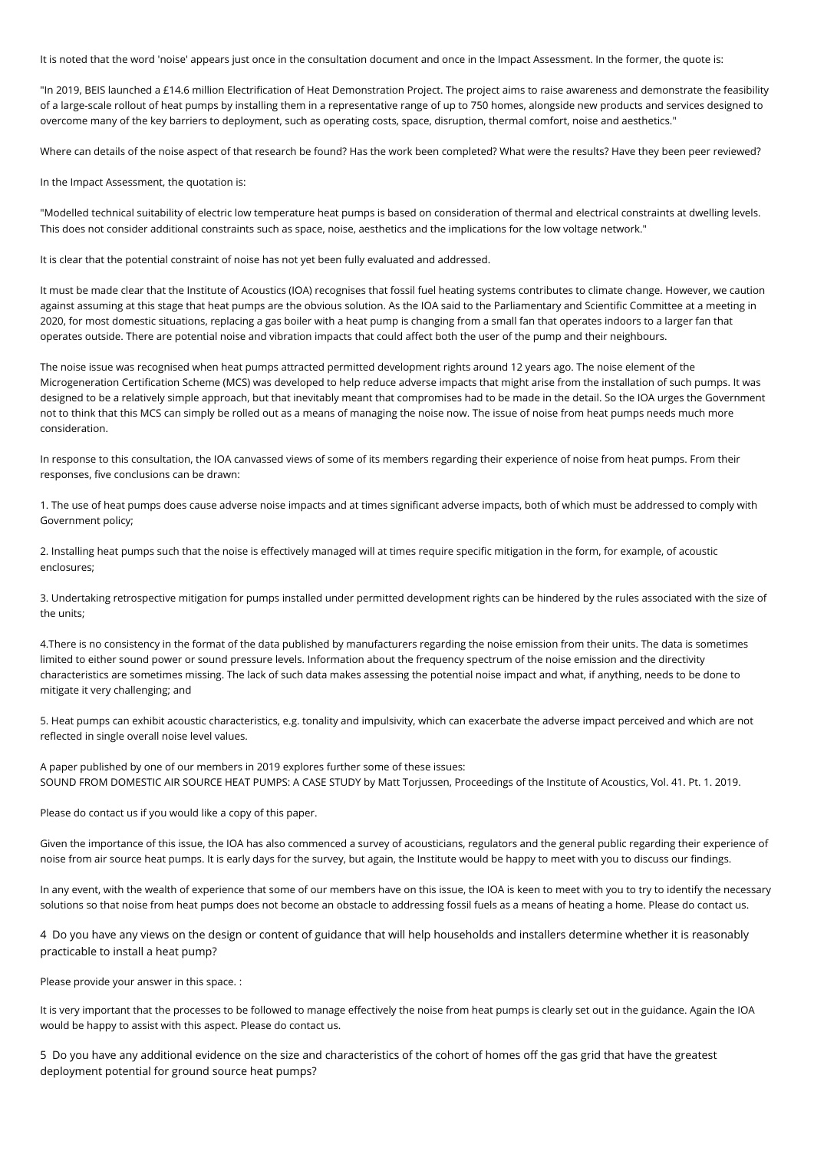It is noted that the word 'noise' appears just once in the consultation document and once in the Impact Assessment. In the former, the quote is:

"In 2019, BEIS launched a £14.6 million Electrification of Heat Demonstration Project. The project aims to raise awareness and demonstrate the feasibility of a large-scale rollout of heat pumps by installing them in a representative range of up to 750 homes, alongside new products and services designed to overcome many of the key barriers to deployment, such as operating costs, space, disruption, thermal comfort, noise and aesthetics."

Where can details of the noise aspect of that research be found? Has the work been completed? What were the results? Have they been peer reviewed?

In the Impact Assessment, the quotation is:

"Modelled technical suitability of electric low temperature heat pumps is based on consideration of thermal and electrical constraints at dwelling levels. This does not consider additional constraints such as space, noise, aesthetics and the implications for the low voltage network."

It is clear that the potential constraint of noise has not yet been fully evaluated and addressed.

It must be made clear that the Institute of Acoustics (IOA) recognises that fossil fuel heating systems contributes to climate change. However, we caution against assuming at this stage that heat pumps are the obvious solution. As the IOA said to the Parliamentary and Scientific Committee at a meeting in 2020, for most domestic situations, replacing a gas boiler with a heat pump is changing from a small fan that operates indoors to a larger fan that operates outside. There are potential noise and vibration impacts that could affect both the user of the pump and their neighbours.

The noise issue was recognised when heat pumps attracted permitted development rights around 12 years ago. The noise element of the Microgeneration Certification Scheme (MCS) was developed to help reduce adverse impacts that might arise from the installation of such pumps. It was designed to be a relatively simple approach, but that inevitably meant that compromises had to be made in the detail. So the IOA urges the Government not to think that this MCS can simply be rolled out as a means of managing the noise now. The issue of noise from heat pumps needs much more consideration.

In response to this consultation, the IOA canvassed views of some of its members regarding their experience of noise from heat pumps. From their responses, five conclusions can be drawn:

1. The use of heat pumps does cause adverse noise impacts and at times significant adverse impacts, both of which must be addressed to comply with Government policy;

2. Installing heat pumps such that the noise is effectively managed will at times require specific mitigation in the form, for example, of acoustic enclosures;

3. Undertaking retrospective mitigation for pumps installed under permitted development rights can be hindered by the rules associated with the size of the units;

4.There is no consistency in the format of the data published by manufacturers regarding the noise emission from their units. The data is sometimes limited to either sound power or sound pressure levels. Information about the frequency spectrum of the noise emission and the directivity characteristics are sometimes missing. The lack of such data makes assessing the potential noise impact and what, if anything, needs to be done to mitigate it very challenging; and

5. Heat pumps can exhibit acoustic characteristics, e.g. tonality and impulsivity, which can exacerbate the adverse impact perceived and which are not reflected in single overall noise level values.

A paper published by one of our members in 2019 explores further some of these issues: SOUND FROM DOMESTIC AIR SOURCE HEAT PUMPS: A CASE STUDY by Matt Torjussen, Proceedings of the Institute of Acoustics, Vol. 41. Pt. 1. 2019.

Please do contact us if you would like a copy of this paper.

Given the importance of this issue, the IOA has also commenced a survey of acousticians, regulators and the general public regarding their experience of noise from air source heat pumps. It is early days for the survey, but again, the Institute would be happy to meet with you to discuss our findings.

In any event, with the wealth of experience that some of our members have on this issue, the IOA is keen to meet with you to try to identify the necessary solutions so that noise from heat pumps does not become an obstacle to addressing fossil fuels as a means of heating a home. Please do contact us.

4 Do you have any views on the design or content of guidance that will help households and installers determine whether it is reasonably practicable to install a heat pump?

Please provide your answer in this space. :

It is very important that the processes to be followed to manage effectively the noise from heat pumps is clearly set out in the guidance. Again the IOA would be happy to assist with this aspect. Please do contact us.

5 Do you have any additional evidence on the size and characteristics of the cohort of homes off the gas grid that have the greatest deployment potential for ground source heat pumps?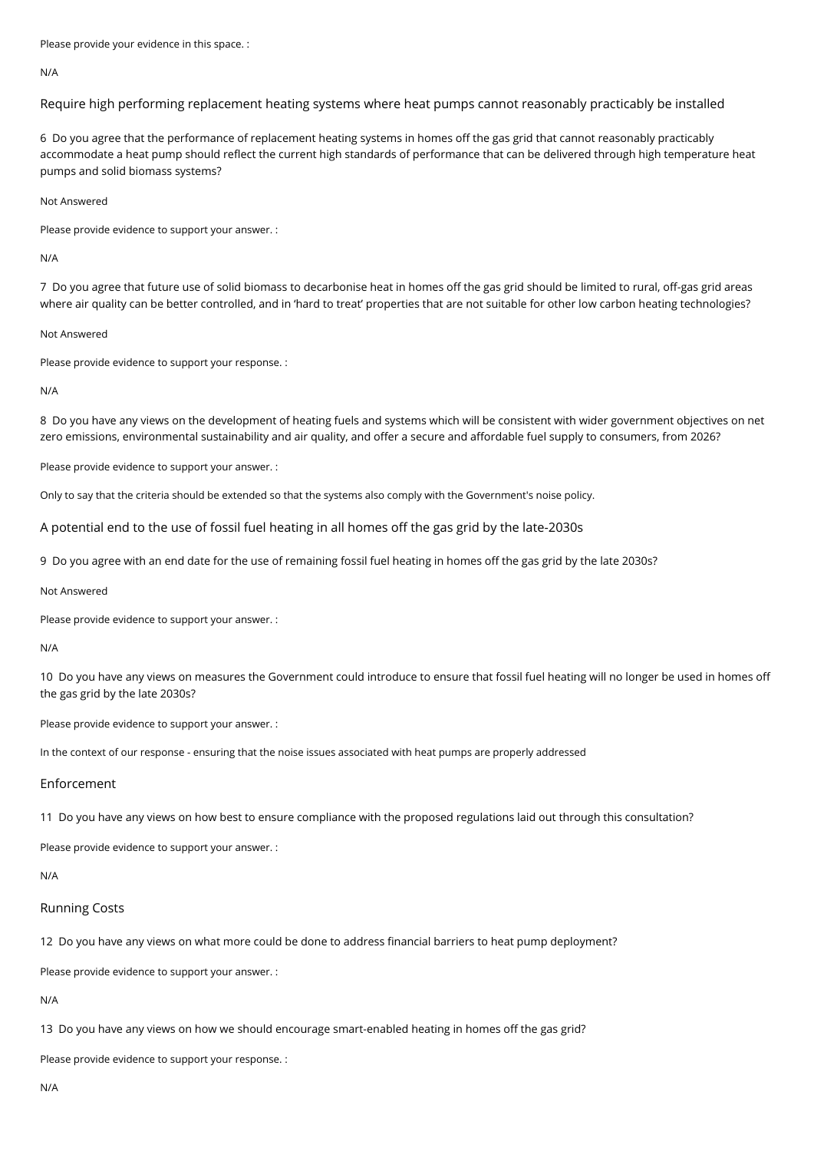Please provide your evidence in this space. :

#### N/A

Require high performing replacement heating systems where heat pumps cannot reasonably practicably be installed

6 Do you agree that the performance of replacement heating systems in homes off the gas grid that cannot reasonably practicably accommodate a heat pump should reflect the current high standards of performance that can be delivered through high temperature heat pumps and solid biomass systems?

### Not Answered

Please provide evidence to support your answer. :

#### N/A

7 Do you agree that future use of solid biomass to decarbonise heat in homes off the gas grid should be limited to rural, off-gas grid areas where air quality can be better controlled, and in 'hard to treat' properties that are not suitable for other low carbon heating technologies?

### Not Answered

Please provide evidence to support your response. :

#### N/A

8 Do you have any views on the development of heating fuels and systems which will be consistent with wider government objectives on net zero emissions, environmental sustainability and air quality, and offer a secure and affordable fuel supply to consumers, from 2026?

Please provide evidence to support your answer. :

Only to say that the criteria should be extended so that the systems also comply with the Government's noise policy.

A potential end to the use of fossil fuel heating in all homes off the gas grid by the late-2030s

9 Do you agree with an end date for the use of remaining fossil fuel heating in homes off the gas grid by the late 2030s?

### Not Answered

Please provide evidence to support your answer. :

#### N/A

10 Do you have any views on measures the Government could introduce to ensure that fossil fuel heating will no longer be used in homes off the gas grid by the late 2030s?

Please provide evidence to support your answer. :

In the context of our response - ensuring that the noise issues associated with heat pumps are properly addressed

### Enforcement

11 Do you have any views on how best to ensure compliance with the proposed regulations laid out through this consultation?

Please provide evidence to support your answer. :

### N/A

### Running Costs

12 Do you have any views on what more could be done to address financial barriers to heat pump deployment?

Please provide evidence to support your answer. :

N/A

13 Do you have any views on how we should encourage smart-enabled heating in homes off the gas grid?

Please provide evidence to support your response. :

N/A